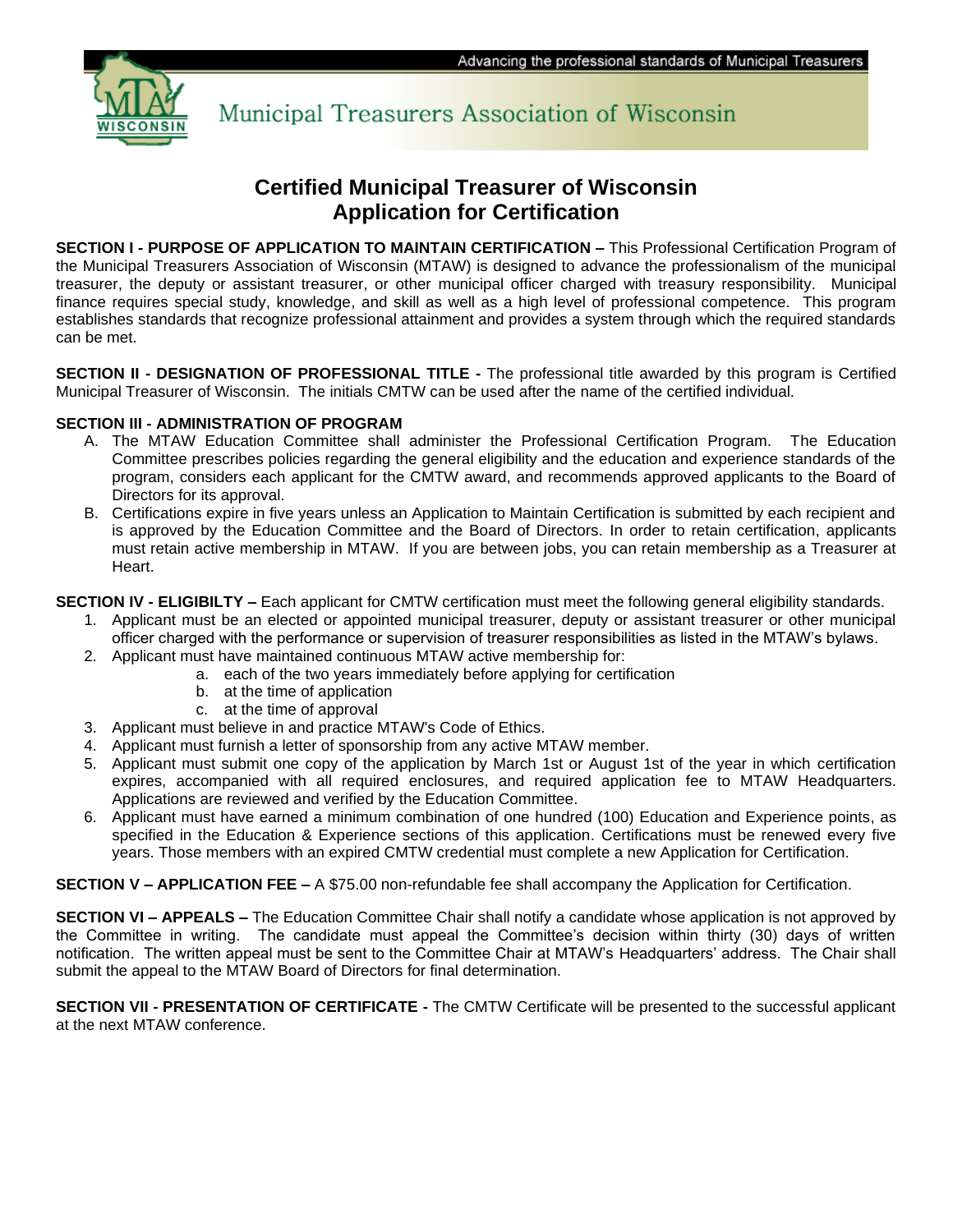

Municipal Treasurers Association of Wisconsin

# **Certified Municipal Treasurer of Wisconsin Application for Certification**

**SECTION I - PURPOSE OF APPLICATION TO MAINTAIN CERTIFICATION –** This Professional Certification Program of the Municipal Treasurers Association of Wisconsin (MTAW) is designed to advance the professionalism of the municipal treasurer, the deputy or assistant treasurer, or other municipal officer charged with treasury responsibility. Municipal finance requires special study, knowledge, and skill as well as a high level of professional competence. This program establishes standards that recognize professional attainment and provides a system through which the required standards can be met.

**SECTION II - DESIGNATION OF PROFESSIONAL TITLE -** The professional title awarded by this program is Certified Municipal Treasurer of Wisconsin. The initials CMTW can be used after the name of the certified individual.

#### **SECTION III - ADMINISTRATION OF PROGRAM**

- A. The MTAW Education Committee shall administer the Professional Certification Program. The Education Committee prescribes policies regarding the general eligibility and the education and experience standards of the program, considers each applicant for the CMTW award, and recommends approved applicants to the Board of Directors for its approval.
- B. Certifications expire in five years unless an Application to Maintain Certification is submitted by each recipient and is approved by the Education Committee and the Board of Directors. In order to retain certification, applicants must retain active membership in MTAW. If you are between jobs, you can retain membership as a Treasurer at Heart.

**SECTION IV - ELIGIBILTY –** Each applicant for CMTW certification must meet the following general eligibility standards.

- 1. Applicant must be an elected or appointed municipal treasurer, deputy or assistant treasurer or other municipal officer charged with the performance or supervision of treasurer responsibilities as listed in the MTAW's bylaws.
- 2. Applicant must have maintained continuous MTAW active membership for:
	- a. each of the two years immediately before applying for certification
	- b. at the time of application
	- c. at the time of approval
- 3. Applicant must believe in and practice MTAW's Code of Ethics.
- 4. Applicant must furnish a letter of sponsorship from any active MTAW member.
- 5. Applicant must submit one copy of the application by March 1st or August 1st of the year in which certification expires, accompanied with all required enclosures, and required application fee to MTAW Headquarters. Applications are reviewed and verified by the Education Committee.
- 6. Applicant must have earned a minimum combination of one hundred (100) Education and Experience points, as specified in the Education & Experience sections of this application. Certifications must be renewed every five years. Those members with an expired CMTW credential must complete a new Application for Certification.

**SECTION V – APPLICATION FEE –** A \$75.00 non-refundable fee shall accompany the Application for Certification.

**SECTION VI – APPEALS –** The Education Committee Chair shall notify a candidate whose application is not approved by the Committee in writing. The candidate must appeal the Committee's decision within thirty (30) days of written notification. The written appeal must be sent to the Committee Chair at MTAW's Headquarters' address. The Chair shall submit the appeal to the MTAW Board of Directors for final determination.

**SECTION VII - PRESENTATION OF CERTIFICATE -** The CMTW Certificate will be presented to the successful applicant at the next MTAW conference.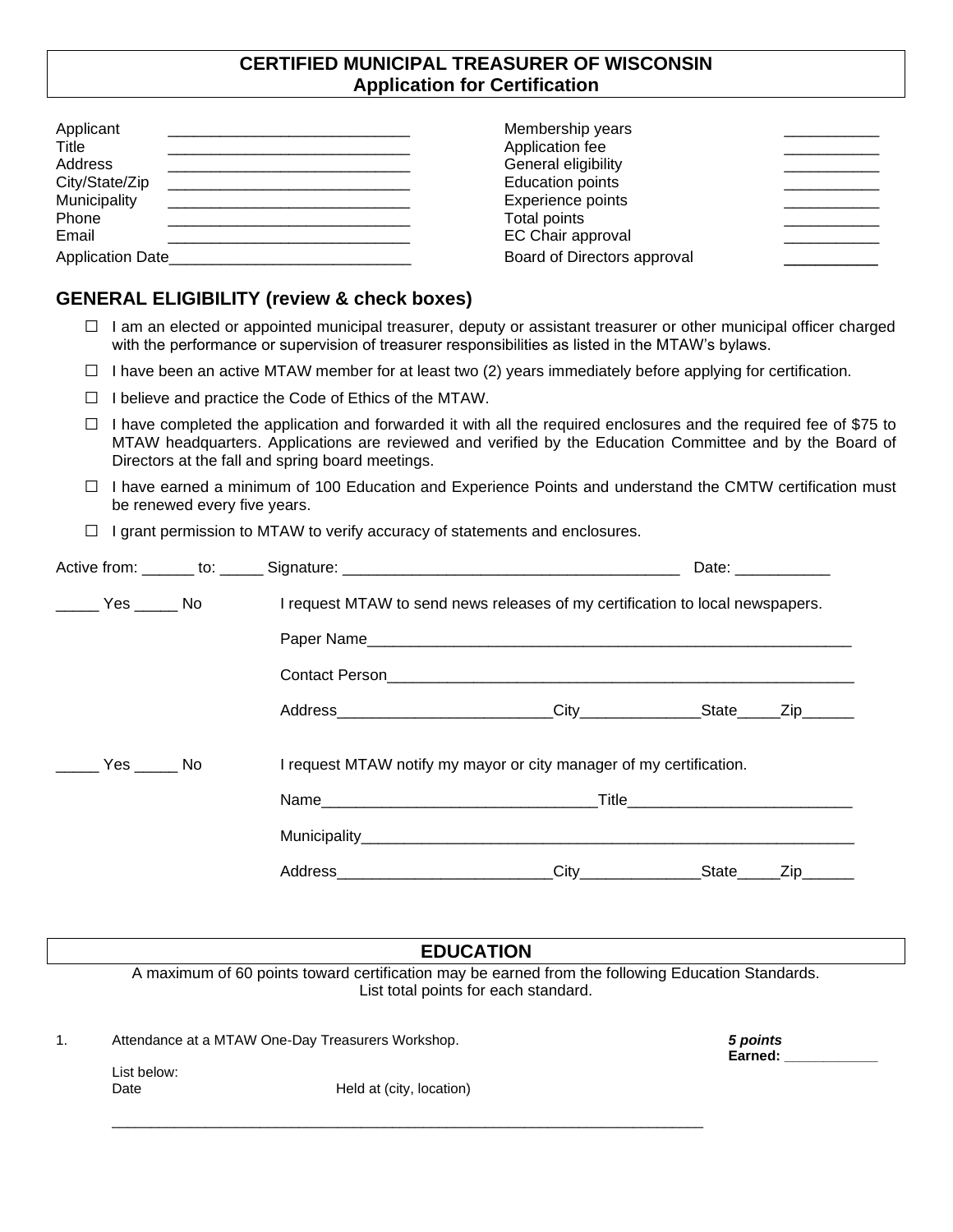## **CERTIFIED MUNICIPAL TREASURER OF WISCONSIN Application for Certification**

| Applicant               | Membership years            |
|-------------------------|-----------------------------|
| Title                   | Application fee             |
| Address                 | General eligibility         |
| City/State/Zip          | <b>Education points</b>     |
| Municipality            | Experience points           |
| Phone                   | Total points                |
| Email                   | EC Chair approval           |
| <b>Application Date</b> | Board of Directors approval |

## **GENERAL ELIGIBILITY (review & check boxes)**

- $\Box$  I am an elected or appointed municipal treasurer, deputy or assistant treasurer or other municipal officer charged with the performance or supervision of treasurer responsibilities as listed in the MTAW's bylaws.
- $\Box$  I have been an active MTAW member for at least two (2) years immediately before applying for certification.
- □ I believe and practice the Code of Ethics of the MTAW.
- $\Box$  I have completed the application and forwarded it with all the required enclosures and the required fee of \$75 to MTAW headquarters. Applications are reviewed and verified by the Education Committee and by the Board of Directors at the fall and spring board meetings.
- □ I have earned a minimum of 100 Education and Experience Points and understand the CMTW certification must be renewed every five years.
- $\Box$  I grant permission to MTAW to verify accuracy of statements and enclosures.

|  |                  | Date: and the state of the state of the state of the state of the state of the state of the state of the state of the state of the state of the state of the state of the state of the state of the state of the state of the |
|--|------------------|-------------------------------------------------------------------------------------------------------------------------------------------------------------------------------------------------------------------------------|
|  |                  |                                                                                                                                                                                                                               |
|  |                  |                                                                                                                                                                                                                               |
|  |                  |                                                                                                                                                                                                                               |
|  |                  |                                                                                                                                                                                                                               |
|  |                  |                                                                                                                                                                                                                               |
|  |                  |                                                                                                                                                                                                                               |
|  |                  |                                                                                                                                                                                                                               |
|  |                  | _Zip_______                                                                                                                                                                                                                   |
|  |                  |                                                                                                                                                                                                                               |
|  |                  |                                                                                                                                                                                                                               |
|  | <b>EDUCATION</b> | I request MTAW to send news releases of my certification to local newspapers.<br>I request MTAW notify my mayor or city manager of my certification.                                                                          |

1. Attendance at a MTAW One-Day Treasurers Workshop. *5 points*

|      | List below: |
|------|-------------|
| Date |             |

Held at (city, location)

\_\_\_\_\_\_\_\_\_\_\_\_\_\_\_\_\_\_\_\_\_\_\_\_\_\_\_\_\_\_\_\_\_\_\_\_\_\_\_\_\_\_\_\_\_\_\_\_\_\_\_\_\_\_\_\_\_\_\_\_\_\_\_\_\_\_\_\_\_\_\_\_\_\_\_\_

Earned: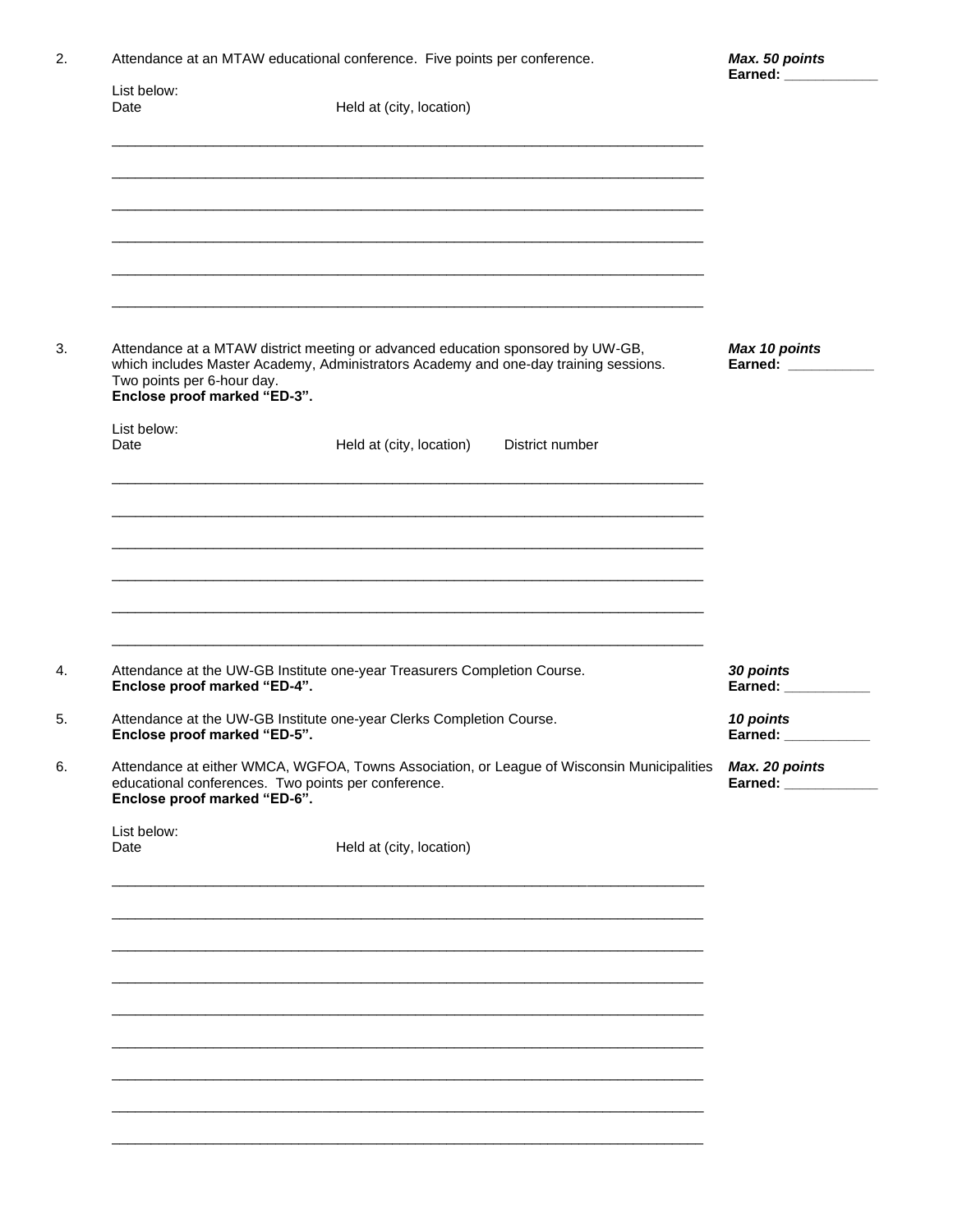| 2. |                     | Attendance at an MTAW educational conference. Five points per conference. |  |  |
|----|---------------------|---------------------------------------------------------------------------|--|--|
|    | List below:<br>Date | Held at (city, location)                                                  |  |  |
|    |                     |                                                                           |  |  |

 $3.$ 

4.

5.

 $6. \,$ 

| Attendance at a MTAW district meeting or advanced education sponsored by UW-GB,<br>which includes Master Academy, Administrators Academy and one-day training sessions.<br>Two points per 6-hour day.<br>Enclose proof marked "ED-3". | Max 10 points<br>Earned: __________         |  |
|---------------------------------------------------------------------------------------------------------------------------------------------------------------------------------------------------------------------------------------|---------------------------------------------|--|
| List below:<br>Date                                                                                                                                                                                                                   | Held at (city, location)<br>District number |  |
|                                                                                                                                                                                                                                       |                                             |  |
|                                                                                                                                                                                                                                       |                                             |  |
| Attendance at the UW-GB Institute one-year Treasurers Completion Course.<br>Enclose proof marked "ED-4".                                                                                                                              | 30 points<br>Earned: Earned:                |  |
| Attendance at the UW-GB Institute one-year Clerks Completion Course.<br>Enclose proof marked "ED-5".                                                                                                                                  | 10 points<br>Earned: ___________            |  |
| Attendance at either WMCA, WGFOA, Towns Association, or League of Wisconsin Municipalities<br>educational conferences. Two points per conference.<br>Enclose proof marked "ED-6".                                                     | Max. 20 points<br>Earned: New York 1997     |  |
| List below:<br>Date                                                                                                                                                                                                                   | Held at (city, location)                    |  |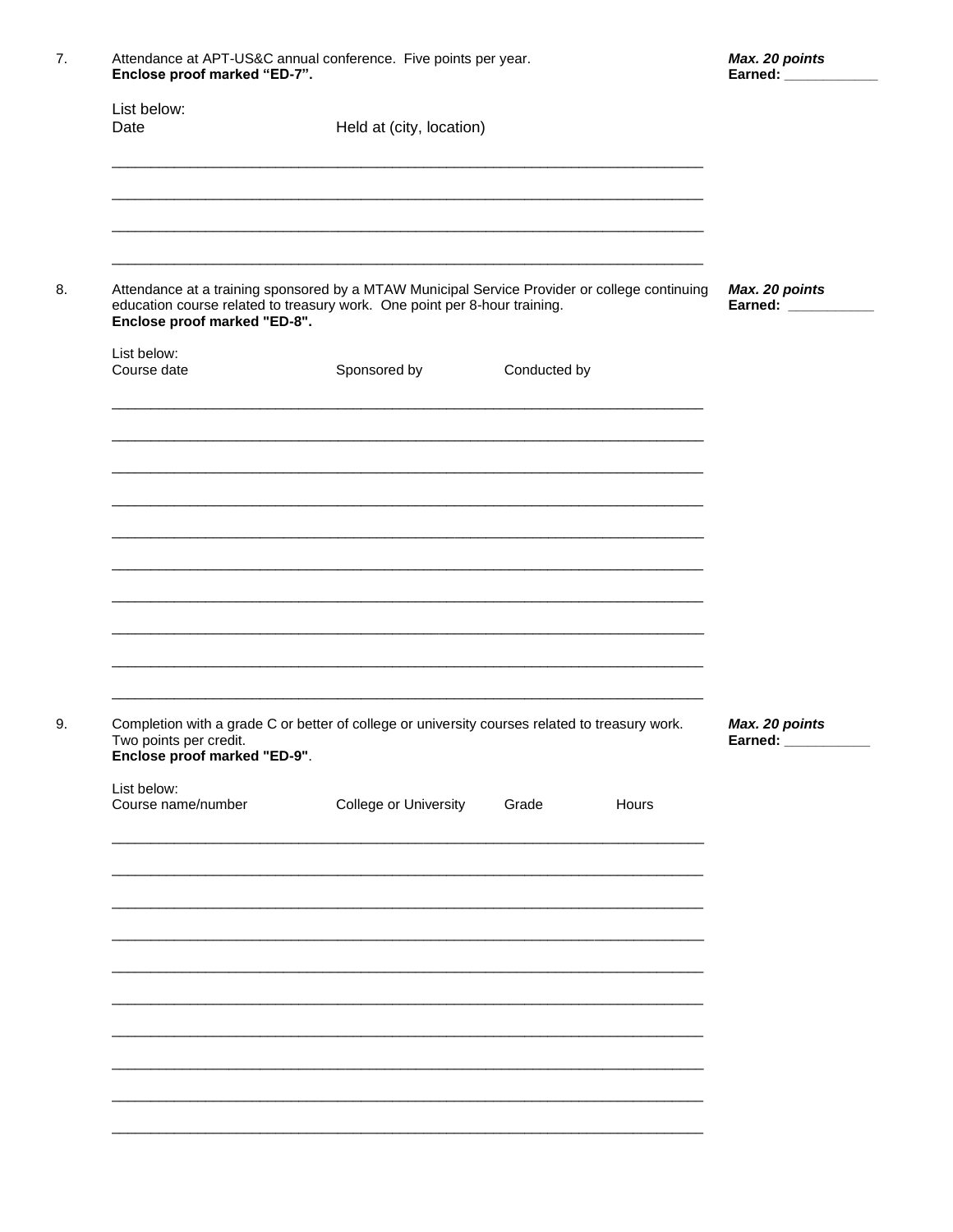| List below:<br>Date                                                       | Held at (city, location) |                                                                                                |                                        |
|---------------------------------------------------------------------------|--------------------------|------------------------------------------------------------------------------------------------|----------------------------------------|
| education course related to treasury work. One point per 8-hour training. |                          | Attendance at a training sponsored by a MTAW Municipal Service Provider or college continuing  | Max. 20 points<br>Earned: ____________ |
| Enclose proof marked "ED-8".                                              |                          |                                                                                                |                                        |
| List below:<br>Course date                                                | Sponsored by             | Conducted by                                                                                   |                                        |
|                                                                           |                          |                                                                                                |                                        |
|                                                                           |                          |                                                                                                |                                        |
|                                                                           |                          |                                                                                                |                                        |
|                                                                           |                          |                                                                                                |                                        |
|                                                                           |                          |                                                                                                |                                        |
|                                                                           |                          |                                                                                                |                                        |
|                                                                           |                          |                                                                                                |                                        |
| Two points per credit.<br>Enclose proof marked "ED-9".                    |                          | Completion with a grade C or better of college or university courses related to treasury work. | Max. 20 points<br>Earned: ___________  |
| List below:<br>Course name/number                                         | College or University    | Grade<br>Hours                                                                                 |                                        |
|                                                                           |                          |                                                                                                |                                        |
|                                                                           |                          |                                                                                                |                                        |
|                                                                           |                          |                                                                                                |                                        |
|                                                                           |                          |                                                                                                |                                        |
|                                                                           |                          |                                                                                                |                                        |

Max. 20 points

Attendance at APT-US&C annual conference. Five points per year.

 $7.$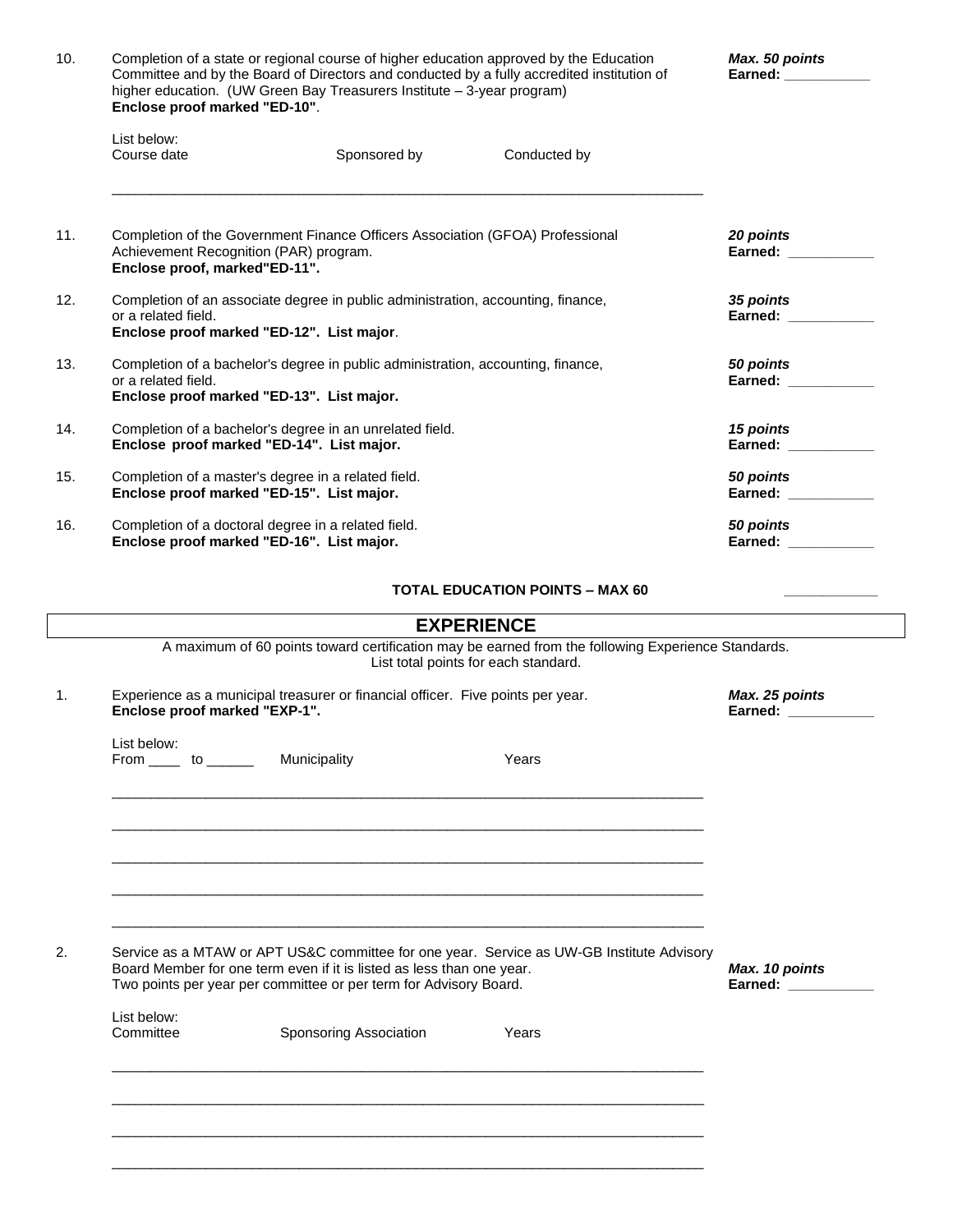| 10. | Completion of a state or regional course of higher education approved by the Education<br>Committee and by the Board of Directors and conducted by a fully accredited institution of<br>higher education. (UW Green Bay Treasurers Institute - 3-year program)<br>Enclose proof marked "ED-10". | Max. 50 points<br>Earned: <b>Example 2014</b> |              |                                         |
|-----|-------------------------------------------------------------------------------------------------------------------------------------------------------------------------------------------------------------------------------------------------------------------------------------------------|-----------------------------------------------|--------------|-----------------------------------------|
|     | List below:<br>Course date                                                                                                                                                                                                                                                                      | Sponsored by                                  | Conducted by |                                         |
| 11. | Completion of the Government Finance Officers Association (GFOA) Professional<br>Achievement Recognition (PAR) program.<br>Enclose proof, marked"ED-11".                                                                                                                                        | 20 points<br>Earned: <b>Example</b>           |              |                                         |
| 12. | Completion of an associate degree in public administration, accounting, finance,<br>or a related field.<br>Enclose proof marked "ED-12". List major.                                                                                                                                            |                                               |              | 35 points<br>Earned:                    |
| 13. | Completion of a bachelor's degree in public administration, accounting, finance,<br>or a related field.<br>Enclose proof marked "ED-13". List major.                                                                                                                                            |                                               |              | 50 points<br>Earned: Earned:            |
| 14. | Completion of a bachelor's degree in an unrelated field.<br>Enclose proof marked "ED-14". List major.                                                                                                                                                                                           |                                               |              | <b>15 points</b><br>Earned: ___________ |
| 15. | Completion of a master's degree in a related field.<br>Enclose proof marked "ED-15". List major.                                                                                                                                                                                                |                                               |              | 50 points<br>Earned: New York 1997      |
| 16. | Completion of a doctoral degree in a related field.<br>Enclose proof marked "ED-16". List major.                                                                                                                                                                                                |                                               |              | 50 points<br>Earned: <b>Example 19</b>  |

#### **TOTAL EDUCATION POINTS – MAX 60**

| A maximum of 60 points toward certification may be earned from the following Experience Standards.<br>List total points for each standard. |                                                                       |                                                                                           |                                       |
|--------------------------------------------------------------------------------------------------------------------------------------------|-----------------------------------------------------------------------|-------------------------------------------------------------------------------------------|---------------------------------------|
| Experience as a municipal treasurer or financial officer. Five points per year.<br>Enclose proof marked "EXP-1".                           |                                                                       |                                                                                           | Max. 25 points<br>Earned: ___________ |
| List below:                                                                                                                                | From ______ to _________ Municipality                                 | Years                                                                                     |                                       |
|                                                                                                                                            |                                                                       |                                                                                           |                                       |
|                                                                                                                                            |                                                                       |                                                                                           |                                       |
|                                                                                                                                            | Board Member for one term even if it is listed as less than one year. | Service as a MTAW or APT US&C committee for one year. Service as UW-GB Institute Advisory | Max. 10 points                        |
|                                                                                                                                            | Two points per year per committee or per term for Advisory Board.     |                                                                                           | Earned: New York 1997                 |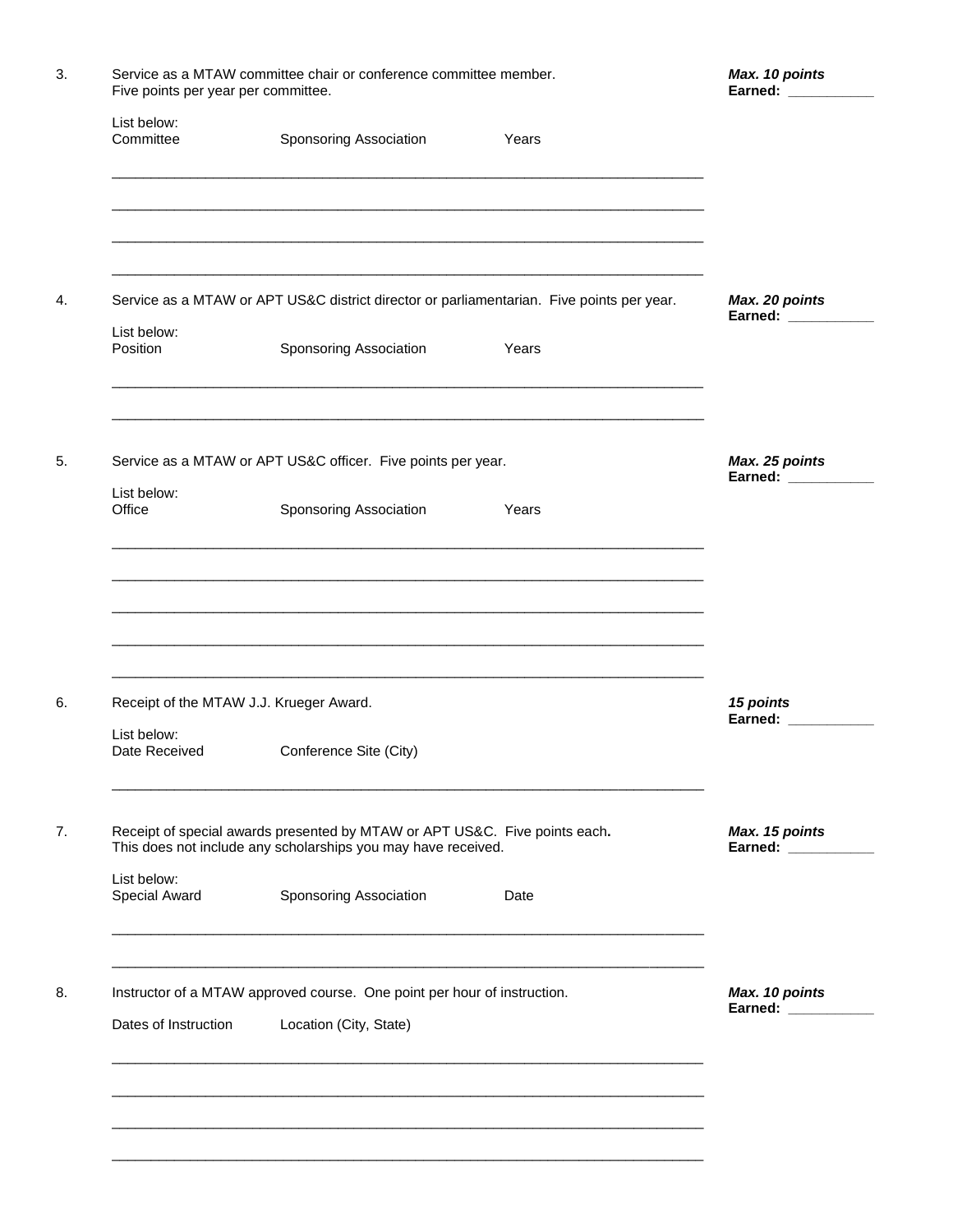| List below:                                                   |                                                                                           |       |                                       |
|---------------------------------------------------------------|-------------------------------------------------------------------------------------------|-------|---------------------------------------|
| Committee                                                     | Sponsoring Association                                                                    | Years |                                       |
|                                                               |                                                                                           |       |                                       |
|                                                               | Service as a MTAW or APT US&C district director or parliamentarian. Five points per year. |       | Max. 20 points<br>Earned: ___________ |
| List below:<br>Position                                       | Sponsoring Association                                                                    | Years |                                       |
|                                                               | Service as a MTAW or APT US&C officer. Five points per year.                              |       | Max. 25 points<br>Earned: ___________ |
| List below:<br>Office                                         | Sponsoring Association                                                                    | Years |                                       |
| Receipt of the MTAW J.J. Krueger Award.                       |                                                                                           |       | 15 points<br>Earned: ___________      |
| List below:<br>Date Received                                  | Conference Site (City)                                                                    |       |                                       |
|                                                               | Receipt of special awards presented by MTAW or APT US&C. Five points each.                |       | Max. 15 points<br>Earned: _______     |
| This does not include any scholarships you may have received. |                                                                                           |       |                                       |
| List below:<br>Special Award                                  | Sponsoring Association                                                                    | Date  |                                       |
|                                                               | Instructor of a MTAW approved course. One point per hour of instruction.                  |       | Max. 10 points                        |
| Dates of Instruction                                          | Location (City, State)                                                                    |       | Earned: ___________                   |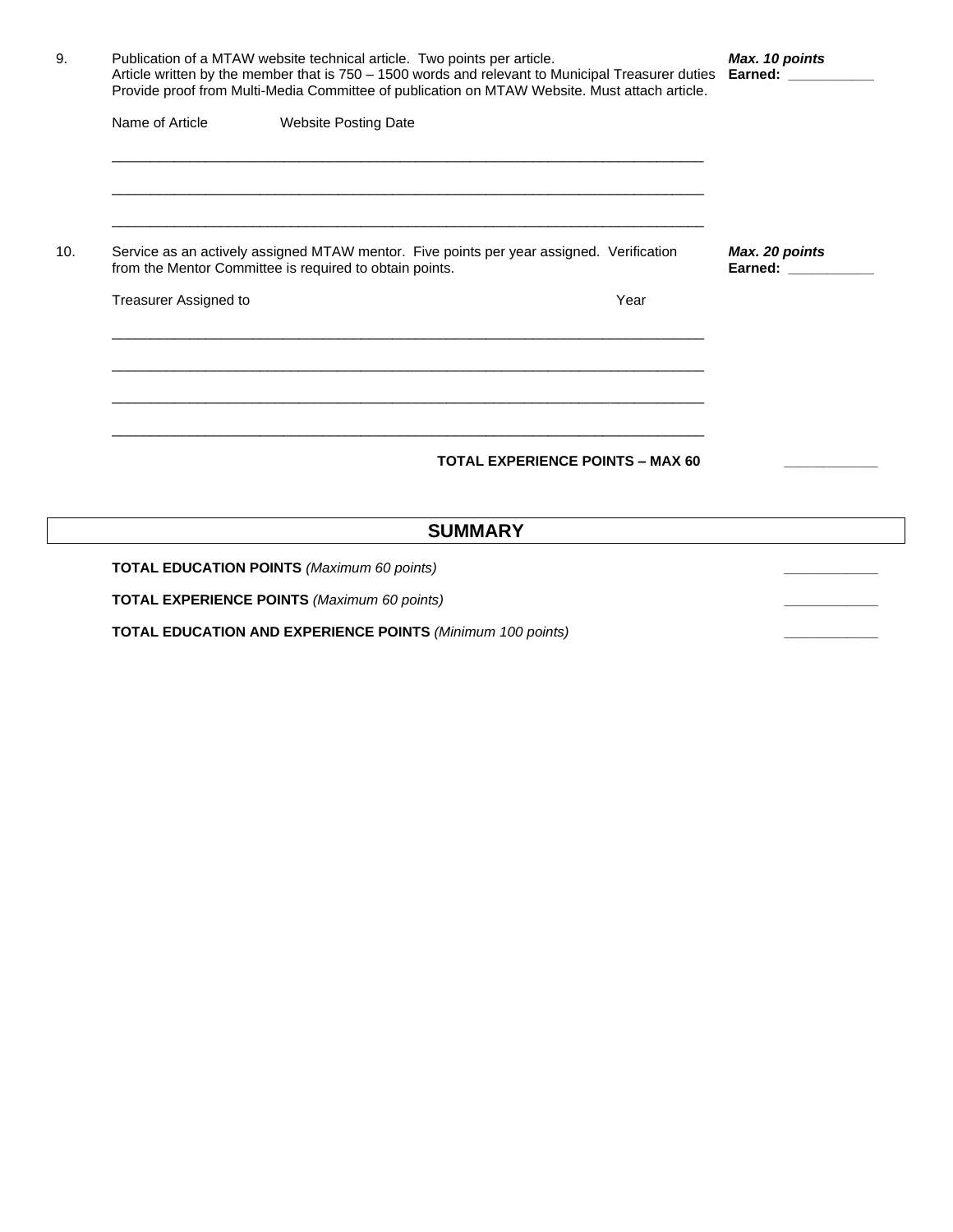|                              | Publication of a MTAW website technical article. Two points per article.<br>Article written by the member that is 750 - 1500 words and relevant to Municipal Treasurer duties Earned: _________<br>Provide proof from Multi-Media Committee of publication on MTAW Website. Must attach article. |      | Max. 10 points                          |
|------------------------------|--------------------------------------------------------------------------------------------------------------------------------------------------------------------------------------------------------------------------------------------------------------------------------------------------|------|-----------------------------------------|
| Name of Article              | <b>Website Posting Date</b><br><u> 1989 - Johann Stoff, amerikansk politiker (* 1908)</u><br><u> 1989 - Johann Stoff, amerikansk politiker (d. 1989)</u>                                                                                                                                         |      |                                         |
| <b>Treasurer Assigned to</b> | Service as an actively assigned MTAW mentor. Five points per year assigned. Verification<br>from the Mentor Committee is required to obtain points.                                                                                                                                              | Year | Max. 20 points<br>Earned: New York 1997 |
|                              | <u> 1989 - Johann Stoff, amerikansk politiker (d. 1989)</u>                                                                                                                                                                                                                                      |      |                                         |
|                              | <b>TOTAL EXPERIENCE POINTS - MAX 60</b>                                                                                                                                                                                                                                                          |      |                                         |
|                              | <b>SUMMARY</b>                                                                                                                                                                                                                                                                                   |      |                                         |
|                              | <b>TOTAL EDUCATION POINTS (Maximum 60 points)</b>                                                                                                                                                                                                                                                |      |                                         |
|                              | <b>TOTAL EXPERIENCE POINTS (Maximum 60 points)</b>                                                                                                                                                                                                                                               |      |                                         |

**TOTAL EDUCATION AND EXPERIENCE POINTS** *(Minimum 100 points)* **\_\_\_\_\_\_\_\_\_\_\_\_**